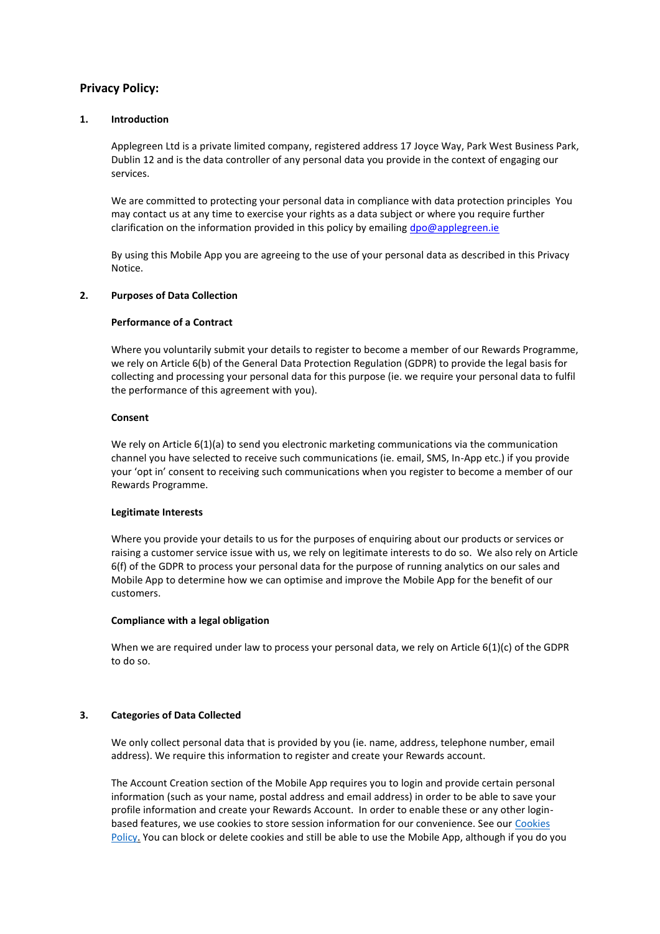# **Privacy Policy:**

### **1. Introduction**

Applegreen Ltd is a private limited company, registered address 17 Joyce Way, Park West Business Park, Dublin 12 and is the data controller of any personal data you provide in the context of engaging our services.

We are committed to protecting your personal data in compliance with data protection principles You may contact us at any time to exercise your rights as a data subject or where you require further clarification on the information provided in this policy by emailing [dpo@applegreen.ie](mailto:dpo@applegreen.ie)

By using this Mobile App you are agreeing to the use of your personal data as described in this Privacy Notice.

### **2. Purposes of Data Collection**

### **Performance of a Contract**

Where you voluntarily submit your details to register to become a member of our Rewards Programme, we rely on Article 6(b) of the General Data Protection Regulation (GDPR) to provide the legal basis for collecting and processing your personal data for this purpose (ie. we require your personal data to fulfil the performance of this agreement with you).

### **Consent**

We rely on Article 6(1)(a) to send you electronic marketing communications via the communication channel you have selected to receive such communications (ie. email, SMS, In-App etc.) if you provide your 'opt in' consent to receiving such communications when you register to become a member of our Rewards Programme.

#### **Legitimate Interests**

Where you provide your details to us for the purposes of enquiring about our products or services or raising a customer service issue with us, we rely on legitimate interests to do so. We also rely on Article 6(f) of the GDPR to process your personal data for the purpose of running analytics on our sales and Mobile App to determine how we can optimise and improve the Mobile App for the benefit of our customers.

#### **Compliance with a legal obligation**

When we are required under law to process your personal data, we rely on Article 6(1)(c) of the GDPR to do so.

## **3. Categories of Data Collected**

We only collect personal data that is provided by you (ie. name, address, telephone number, email address). We require this information to register and create your Rewards account.

The Account Creation section of the Mobile App requires you to login and provide certain personal information (such as your name, postal address and email address) in order to be able to save your profile information and create your Rewards Account. In order to enable these or any other loginbased features, we use cookies to store session information for our convenience. See our [Cookies](https://www.applegreenstores.com/corporate/cookie-policy/)  [Policy.](https://www.applegreenstores.com/corporate/cookie-policy/) You can block or delete cookies and still be able to use the Mobile App, although if you do you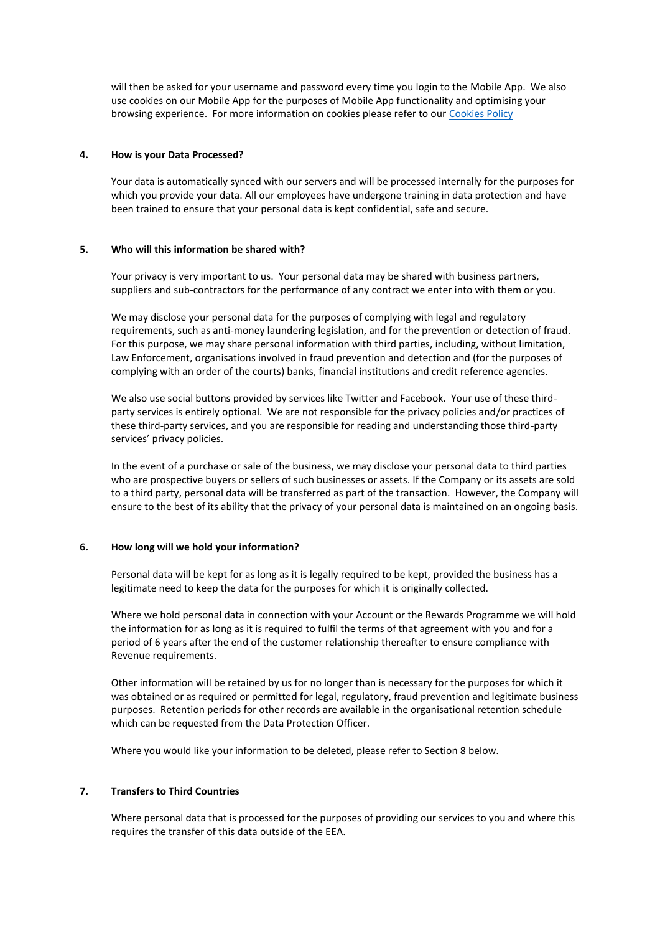will then be asked for your username and password every time you login to the Mobile App. We also use cookies on our Mobile App for the purposes of Mobile App functionality and optimising your browsing experience. For more information on cookies please refer to our [Cookies Policy](https://www.applegreenstores.com/corporate/cookie-policy/)

### **4. How is your Data Processed?**

Your data is automatically synced with our servers and will be processed internally for the purposes for which you provide your data. All our employees have undergone training in data protection and have been trained to ensure that your personal data is kept confidential, safe and secure.

### **5. Who will this information be shared with?**

Your privacy is very important to us. Your personal data may be shared with business partners, suppliers and sub-contractors for the performance of any contract we enter into with them or you.

We may disclose your personal data for the purposes of complying with legal and regulatory requirements, such as anti-money laundering legislation, and for the prevention or detection of fraud. For this purpose, we may share personal information with third parties, including, without limitation, Law Enforcement, organisations involved in fraud prevention and detection and (for the purposes of complying with an order of the courts) banks, financial institutions and credit reference agencies.

We also use social buttons provided by services like Twitter and Facebook. Your use of these thirdparty services is entirely optional. We are not responsible for the privacy policies and/or practices of these third-party services, and you are responsible for reading and understanding those third-party services' privacy policies.

In the event of a purchase or sale of the business, we may disclose your personal data to third parties who are prospective buyers or sellers of such businesses or assets. If the Company or its assets are sold to a third party, personal data will be transferred as part of the transaction. However, the Company will ensure to the best of its ability that the privacy of your personal data is maintained on an ongoing basis.

#### **6. How long will we hold your information?**

Personal data will be kept for as long as it is legally required to be kept, provided the business has a legitimate need to keep the data for the purposes for which it is originally collected.

Where we hold personal data in connection with your Account or the Rewards Programme we will hold the information for as long as it is required to fulfil the terms of that agreement with you and for a period of 6 years after the end of the customer relationship thereafter to ensure compliance with Revenue requirements.

Other information will be retained by us for no longer than is necessary for the purposes for which it was obtained or as required or permitted for legal, regulatory, fraud prevention and legitimate business purposes. Retention periods for other records are available in the organisational retention schedule which can be requested from the Data Protection Officer.

Where you would like your information to be deleted, please refer to Section 8 below.

### **7. Transfers to Third Countries**

Where personal data that is processed for the purposes of providing our services to you and where this requires the transfer of this data outside of the EEA.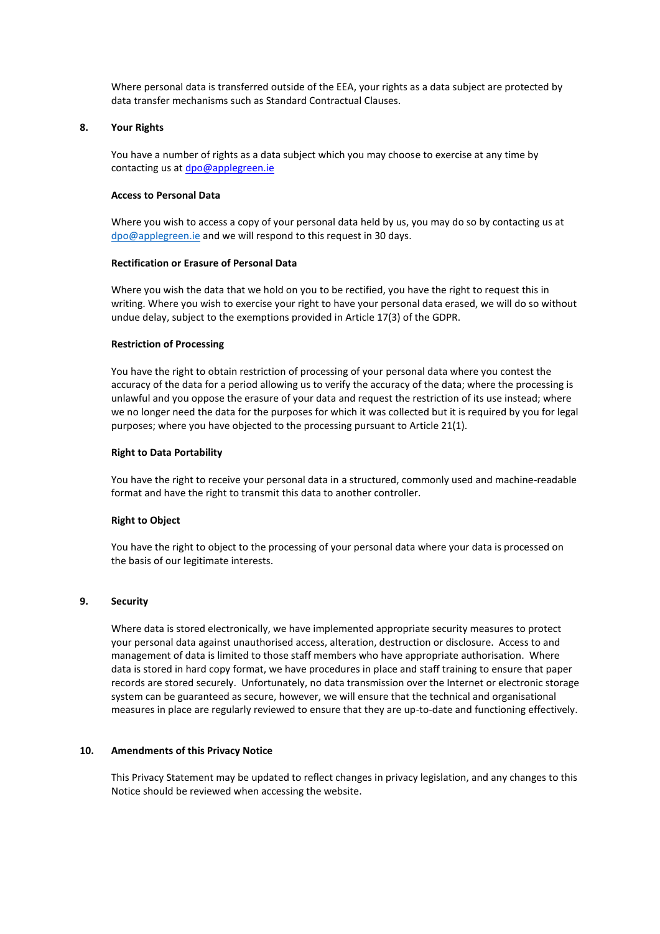Where personal data is transferred outside of the EEA, your rights as a data subject are protected by data transfer mechanisms such as Standard Contractual Clauses.

### **8. Your Rights**

You have a number of rights as a data subject which you may choose to exercise at any time by contacting us at [dpo@applegreen.ie](mailto:dpo@applegreen.ie)

#### **Access to Personal Data**

Where you wish to access a copy of your personal data held by us, you may do so by contacting us at [dpo@applegreen.ie](mailto:dpo@applegreen.ie) and we will respond to this request in 30 days.

### **Rectification or Erasure of Personal Data**

Where you wish the data that we hold on you to be rectified, you have the right to request this in writing. Where you wish to exercise your right to have your personal data erased, we will do so without undue delay, subject to the exemptions provided in Article 17(3) of the GDPR.

#### **Restriction of Processing**

You have the right to obtain restriction of processing of your personal data where you contest the accuracy of the data for a period allowing us to verify the accuracy of the data; where the processing is unlawful and you oppose the erasure of your data and request the restriction of its use instead; where we no longer need the data for the purposes for which it was collected but it is required by you for legal purposes; where you have objected to the processing pursuant to Article 21(1).

#### **Right to Data Portability**

You have the right to receive your personal data in a structured, commonly used and machine-readable format and have the right to transmit this data to another controller.

#### **Right to Object**

You have the right to object to the processing of your personal data where your data is processed on the basis of our legitimate interests.

### **9. Security**

Where data is stored electronically, we have implemented appropriate security measures to protect your personal data against unauthorised access, alteration, destruction or disclosure. Access to and management of data is limited to those staff members who have appropriate authorisation. Where data is stored in hard copy format, we have procedures in place and staff training to ensure that paper records are stored securely. Unfortunately, no data transmission over the Internet or electronic storage system can be guaranteed as secure, however, we will ensure that the technical and organisational measures in place are regularly reviewed to ensure that they are up-to-date and functioning effectively.

#### **10. Amendments of this Privacy Notice**

This Privacy Statement may be updated to reflect changes in privacy legislation, and any changes to this Notice should be reviewed when accessing the website.